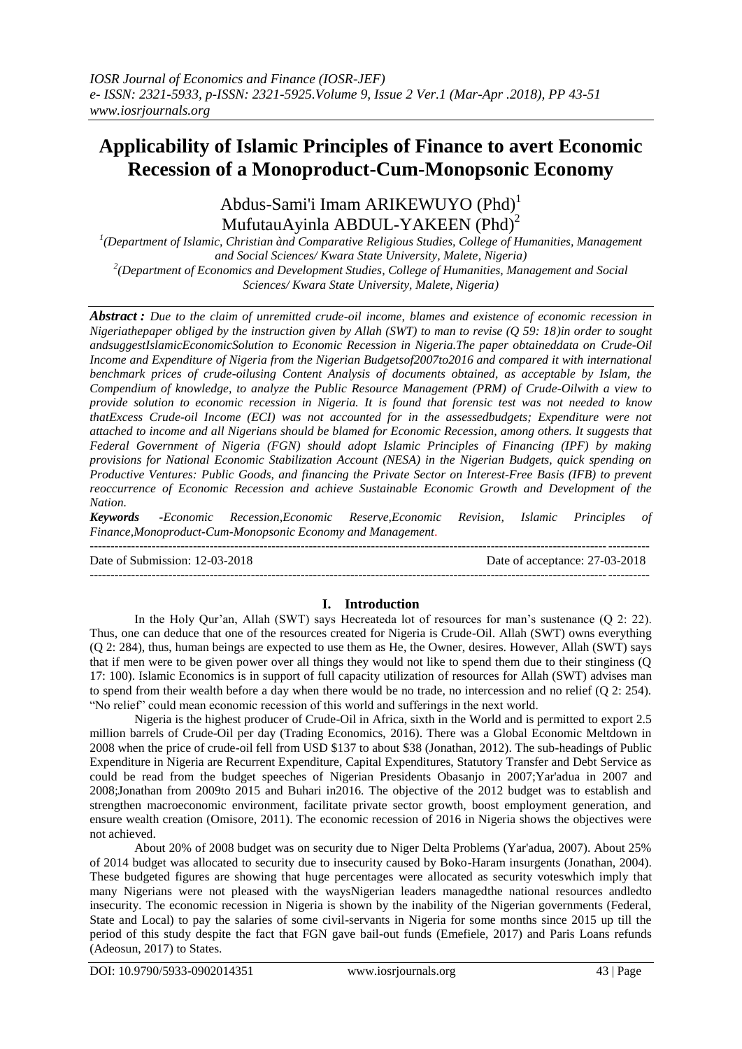# **Applicability of Islamic Principles of Finance to avert Economic Recession of a Monoproduct-Cum-Monopsonic Economy**

Abdus-Sami'i Imam ARIKEWUYO (Phd)<sup>1</sup> MufutauAyinla ABDUL-YAKEEN (Phd)<sup>2</sup>

*1 (Department of Islamic, Christian ànd Comparative Religious Studies, College of Humanities, Management and Social Sciences/ Kwara State University, Malete, Nigeria) 2 (Department of Economics and Development Studies, College of Humanities, Management and Social Sciences/ Kwara State University, Malete, Nigeria)*

*Abstract : Due to the claim of unremitted crude-oil income, blames and existence of economic recession in Nigeriathepaper obliged by the instruction given by Allah (SWT) to man to revise (Q 59: 18)in order to sought andsuggestIslamicEconomicSolution to Economic Recession in Nigeria.The paper obtaineddata on Crude-Oil Income and Expenditure of Nigeria from the Nigerian Budgetsof2007to2016 and compared it with international benchmark prices of crude-oilusing Content Analysis of documents obtained, as acceptable by Islam, the Compendium of knowledge, to analyze the Public Resource Management (PRM) of Crude-Oilwith a view to provide solution to economic recession in Nigeria. It is found that forensic test was not needed to know thatExcess Crude-oil Income (ECI) was not accounted for in the assessedbudgets; Expenditure were not attached to income and all Nigerians should be blamed for Economic Recession, among others. It suggests that Federal Government of Nigeria (FGN) should adopt Islamic Principles of Financing (IPF) by making provisions for National Economic Stabilization Account (NESA) in the Nigerian Budgets, quick spending on Productive Ventures: Public Goods, and financing the Private Sector on Interest-Free Basis (IFB) to prevent reoccurrence of Economic Recession and achieve Sustainable Economic Growth and Development of the Nation.*

*Keywords -Economic Recession,Economic Reserve,Economic Revision, Islamic Principles of Finance,Monoproduct-Cum-Monopsonic Economy and Management.*

---------------------------------------------------------------------------------------------------------------------------------------

Date of Submission: 12-03-2018 Date of acceptance: 27-03-2018

# ---------------------------------------------------------------------------------------------------------------------------------------

#### **I. Introduction**

In the Holy Qur"an, Allah (SWT) says Hecreateda lot of resources for man"s sustenance (Q 2: 22). Thus, one can deduce that one of the resources created for Nigeria is Crude-Oil. Allah (SWT) owns everything (Q 2: 284), thus, human beings are expected to use them as He, the Owner, desires. However, Allah (SWT) says that if men were to be given power over all things they would not like to spend them due to their stinginess (Q 17: 100). Islamic Economics is in support of full capacity utilization of resources for Allah (SWT) advises man to spend from their wealth before a day when there would be no trade, no intercession and no relief (Q 2: 254). "No relief" could mean economic recession of this world and sufferings in the next world.

Nigeria is the highest producer of Crude-Oil in Africa, sixth in the World and is permitted to export 2.5 million barrels of Crude-Oil per day (Trading Economics, 2016). There was a Global Economic Meltdown in 2008 when the price of crude-oil fell from USD \$137 to about \$38 (Jonathan, 2012). The sub-headings of Public Expenditure in Nigeria are Recurrent Expenditure, Capital Expenditures, Statutory Transfer and Debt Service as could be read from the budget speeches of Nigerian Presidents Obasanjo in 2007;Yar'adua in 2007 and 2008;Jonathan from 2009to 2015 and Buhari in2016. The objective of the 2012 budget was to establish and strengthen macroeconomic environment, facilitate private sector growth, boost employment generation, and ensure wealth creation (Omisore, 2011). The economic recession of 2016 in Nigeria shows the objectives were not achieved.

About 20% of 2008 budget was on security due to Niger Delta Problems (Yar'adua, 2007). About 25% of 2014 budget was allocated to security due to insecurity caused by Boko-Haram insurgents (Jonathan, 2004). These budgeted figures are showing that huge percentages were allocated as security voteswhich imply that many Nigerians were not pleased with the waysNigerian leaders managedthe national resources andledto insecurity. The economic recession in Nigeria is shown by the inability of the Nigerian governments (Federal, State and Local) to pay the salaries of some civil-servants in Nigeria for some months since 2015 up till the period of this study despite the fact that FGN gave bail-out funds (Emefiele, 2017) and Paris Loans refunds (Adeosun, 2017) to States.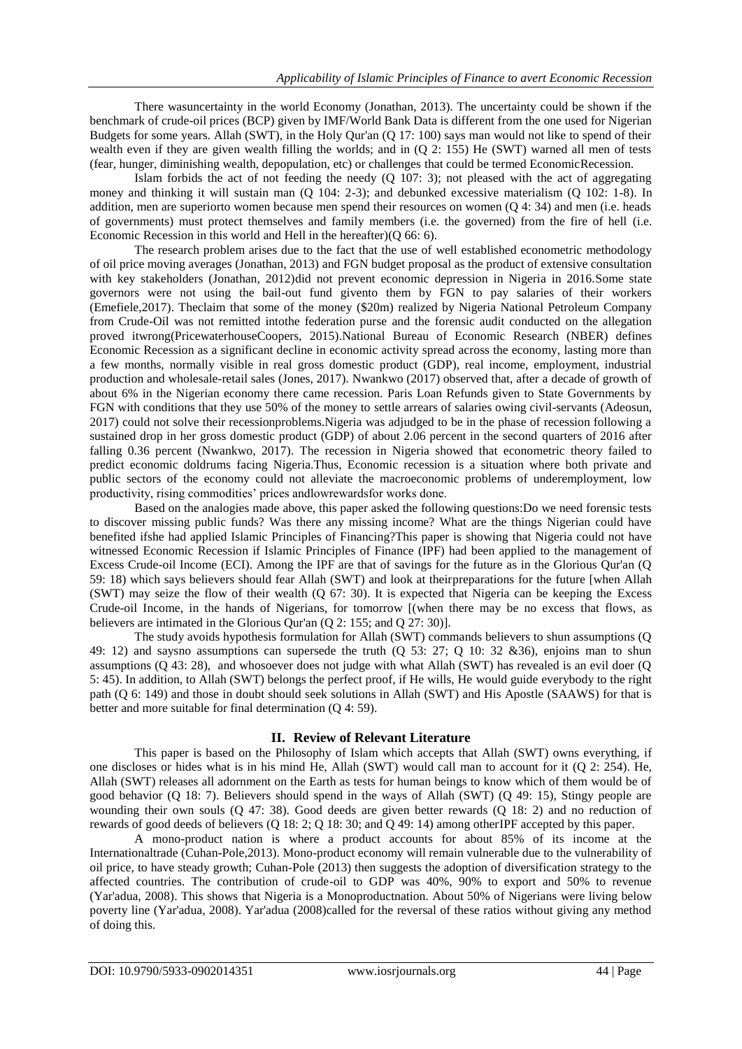There wasuncertainty in the world Economy (Jonathan, 2013). The uncertainty could be shown if the benchmark of crude-oil prices (BCP) given by IMF/World Bank Data is different from the one used for Nigerian Budgets for some years. Allah (SWT), in the Holy Qur'an (Q 17: 100) says man would not like to spend of their wealth even if they are given wealth filling the worlds; and in (Q 2: 155) He (SWT) warned all men of tests (fear, hunger, diminishing wealth, depopulation, etc) or challenges that could be termed EconomicRecession.

Islam forbids the act of not feeding the needy  $(Q_1 107; 3)$ ; not pleased with the act of aggregating money and thinking it will sustain man (Q 104: 2-3); and debunked excessive materialism (Q 102: 1-8). In addition, men are superiorto women because men spend their resources on women (Q 4: 34) and men (i.e. heads of governments) must protect themselves and family members (i.e. the governed) from the fire of hell (i.e. Economic Recession in this world and Hell in the hereafter) $(Q 66: 6)$ .

The research problem arises due to the fact that the use of well established econometric methodology of oil price moving averages (Jonathan, 2013) and FGN budget proposal as the product of extensive consultation with key stakeholders (Jonathan, 2012)did not prevent economic depression in Nigeria in 2016.Some state governors were not using the bail-out fund givento them by FGN to pay salaries of their workers (Emefiele,2017). Theclaim that some of the money (\$20m) realized by Nigeria National Petroleum Company from Crude-Oil was not remitted intothe federation purse and the forensic audit conducted on the allegation proved itwrong(PricewaterhouseCoopers, 2015).National Bureau of Economic Research (NBER) defines Economic Recession as a significant decline in economic activity spread across the economy, lasting more than a few months, normally visible in real gross domestic product (GDP), real income, employment, industrial production and wholesale-retail sales (Jones, 2017). Nwankwo (2017) observed that, after a decade of growth of about 6% in the Nigerian economy there came recession. Paris Loan Refunds given to State Governments by FGN with conditions that they use 50% of the money to settle arrears of salaries owing civil-servants (Adeosun, 2017) could not solve their recessionproblems.Nigeria was adjudged to be in the phase of recession following a sustained drop in her gross domestic product (GDP) of about 2.06 percent in the second quarters of 2016 after falling 0.36 percent (Nwankwo, 2017). The recession in Nigeria showed that econometric theory failed to predict economic doldrums facing Nigeria.Thus, Economic recession is a situation where both private and public sectors of the economy could not alleviate the macroeconomic problems of underemployment, low productivity, rising commodities" prices andlowrewardsfor works done.

Based on the analogies made above, this paper asked the following questions:Do we need forensic tests to discover missing public funds? Was there any missing income? What are the things Nigerian could have benefited ifshe had applied Islamic Principles of Financing?This paper is showing that Nigeria could not have witnessed Economic Recession if Islamic Principles of Finance (IPF) had been applied to the management of Excess Crude-oil Income (ECI). Among the IPF are that of savings for the future as in the Glorious Qur'an (Q 59: 18) which says believers should fear Allah (SWT) and look at theirpreparations for the future [when Allah (SWT) may seize the flow of their wealth (Q 67: 30). It is expected that Nigeria can be keeping the Excess Crude-oil Income, in the hands of Nigerians, for tomorrow [(when there may be no excess that flows, as believers are intimated in the Glorious Qur'an (Q 2: 155; and Q 27: 30)].

The study avoids hypothesis formulation for Allah (SWT) commands believers to shun assumptions (Q 49: 12) and saysno assumptions can supersede the truth (Q 53: 27; Q 10: 32 &36), enjoins man to shun assumptions (Q 43: 28), and whosoever does not judge with what Allah (SWT) has revealed is an evil doer (Q 5: 45). In addition, to Allah (SWT) belongs the perfect proof, if He wills, He would guide everybody to the right path (Q 6: 149) and those in doubt should seek solutions in Allah (SWT) and His Apostle (SAAWS) for that is better and more suitable for final determination (Q 4: 59).

#### **II. Review of Relevant Literature**

This paper is based on the Philosophy of Islam which accepts that Allah (SWT) owns everything, if one discloses or hides what is in his mind He, Allah (SWT) would call man to account for it (Q 2: 254). He, Allah (SWT) releases all adornment on the Earth as tests for human beings to know which of them would be of good behavior (Q 18: 7). Believers should spend in the ways of Allah (SWT) (Q 49: 15), Stingy people are wounding their own souls (Q 47: 38). Good deeds are given better rewards (Q 18: 2) and no reduction of rewards of good deeds of believers (Q 18: 2; Q 18: 30; and Q 49: 14) among otherIPF accepted by this paper.

A mono-product nation is where a product accounts for about 85% of its income at the Internationaltrade (Cuhan-Pole,2013). Mono-product economy will remain vulnerable due to the vulnerability of oil price, to have steady growth; Cuhan-Pole (2013) then suggests the adoption of diversification strategy to the affected countries. The contribution of crude-oil to GDP was 40%, 90% to export and 50% to revenue (Yar'adua, 2008). This shows that Nigeria is a Monoproductnation. About 50% of Nigerians were living below poverty line (Yar'adua, 2008). Yar'adua (2008)called for the reversal of these ratios without giving any method of doing this.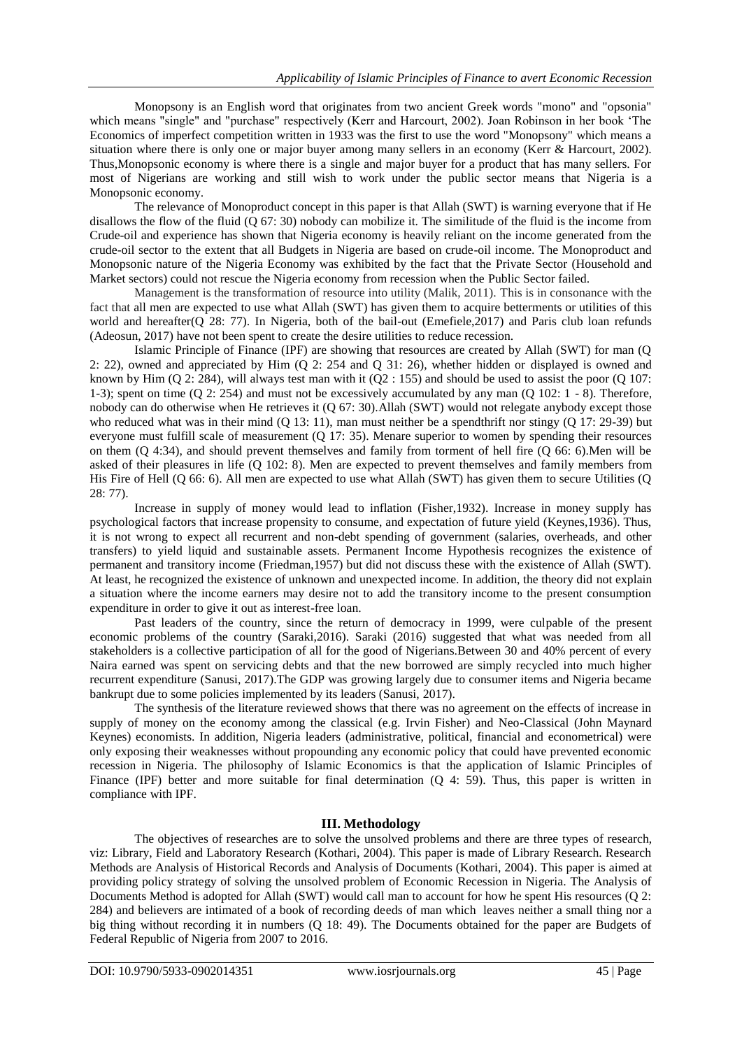Monopsony is an English word that originates from two ancient Greek words "mono" and "opsonia" which means "single" and "purchase" respectively (Kerr and Harcourt, 2002). Joan Robinson in her book "The Economics of imperfect competition written in 1933 was the first to use the word "Monopsony" which means a situation where there is only one or major buyer among many sellers in an economy (Kerr & Harcourt, 2002). Thus,Monopsonic economy is where there is a single and major buyer for a product that has many sellers. For most of Nigerians are working and still wish to work under the public sector means that Nigeria is a Monopsonic economy.

The relevance of Monoproduct concept in this paper is that Allah (SWT) is warning everyone that if He disallows the flow of the fluid  $(Q 67: 30)$  nobody can mobilize it. The similitude of the fluid is the income from Crude-oil and experience has shown that Nigeria economy is heavily reliant on the income generated from the crude-oil sector to the extent that all Budgets in Nigeria are based on crude-oil income. The Monoproduct and Monopsonic nature of the Nigeria Economy was exhibited by the fact that the Private Sector (Household and Market sectors) could not rescue the Nigeria economy from recession when the Public Sector failed.

Management is the transformation of resource into utility (Malik, 2011). This is in consonance with the fact that all men are expected to use what Allah (SWT) has given them to acquire betterments or utilities of this world and hereafter(Q 28: 77). In Nigeria, both of the bail-out (Emefiele, 2017) and Paris club loan refunds (Adeosun, 2017) have not been spent to create the desire utilities to reduce recession.

Islamic Principle of Finance (IPF) are showing that resources are created by Allah (SWT) for man (Q 2: 22), owned and appreciated by Him (Q 2: 254 and Q 31: 26), whether hidden or displayed is owned and known by Him (Q 2: 284), will always test man with it (Q2 : 155) and should be used to assist the poor (Q 107: 1-3); spent on time (Q 2: 254) and must not be excessively accumulated by any man (Q 102: 1 - 8). Therefore, nobody can do otherwise when He retrieves it (Q 67: 30).Allah (SWT) would not relegate anybody except those who reduced what was in their mind (Q 13: 11), man must neither be a spendthrift nor stingy (Q 17: 29-39) but everyone must fulfill scale of measurement (Q 17: 35). Menare superior to women by spending their resources on them (Q 4:34), and should prevent themselves and family from torment of hell fire (Q 66: 6).Men will be asked of their pleasures in life (Q 102: 8). Men are expected to prevent themselves and family members from His Fire of Hell (Q 66: 6). All men are expected to use what Allah (SWT) has given them to secure Utilities (Q 28: 77).

Increase in supply of money would lead to inflation (Fisher,1932). Increase in money supply has psychological factors that increase propensity to consume, and expectation of future yield (Keynes,1936). Thus, it is not wrong to expect all recurrent and non-debt spending of government (salaries, overheads, and other transfers) to yield liquid and sustainable assets. Permanent Income Hypothesis recognizes the existence of permanent and transitory income (Friedman,1957) but did not discuss these with the existence of Allah (SWT). At least, he recognized the existence of unknown and unexpected income. In addition, the theory did not explain a situation where the income earners may desire not to add the transitory income to the present consumption expenditure in order to give it out as interest-free loan.

Past leaders of the country, since the return of democracy in 1999, were culpable of the present economic problems of the country (Saraki,2016). Saraki (2016) suggested that what was needed from all stakeholders is a collective participation of all for the good of Nigerians.Between 30 and 40% percent of every Naira earned was spent on servicing debts and that the new borrowed are simply recycled into much higher recurrent expenditure (Sanusi, 2017).The GDP was growing largely due to consumer items and Nigeria became bankrupt due to some policies implemented by its leaders (Sanusi, 2017).

The synthesis of the literature reviewed shows that there was no agreement on the effects of increase in supply of money on the economy among the classical (e.g. Irvin Fisher) and Neo-Classical (John Maynard Keynes) economists. In addition, Nigeria leaders (administrative, political, financial and econometrical) were only exposing their weaknesses without propounding any economic policy that could have prevented economic recession in Nigeria. The philosophy of Islamic Economics is that the application of Islamic Principles of Finance (IPF) better and more suitable for final determination (Q 4: 59). Thus, this paper is written in compliance with IPF.

### **III. Methodology**

The objectives of researches are to solve the unsolved problems and there are three types of research, viz: Library, Field and Laboratory Research (Kothari, 2004). This paper is made of Library Research. Research Methods are Analysis of Historical Records and Analysis of Documents (Kothari, 2004). This paper is aimed at providing policy strategy of solving the unsolved problem of Economic Recession in Nigeria. The Analysis of Documents Method is adopted for Allah (SWT) would call man to account for how he spent His resources (Q 2: 284) and believers are intimated of a book of recording deeds of man which leaves neither a small thing nor a big thing without recording it in numbers (Q 18: 49). The Documents obtained for the paper are Budgets of Federal Republic of Nigeria from 2007 to 2016.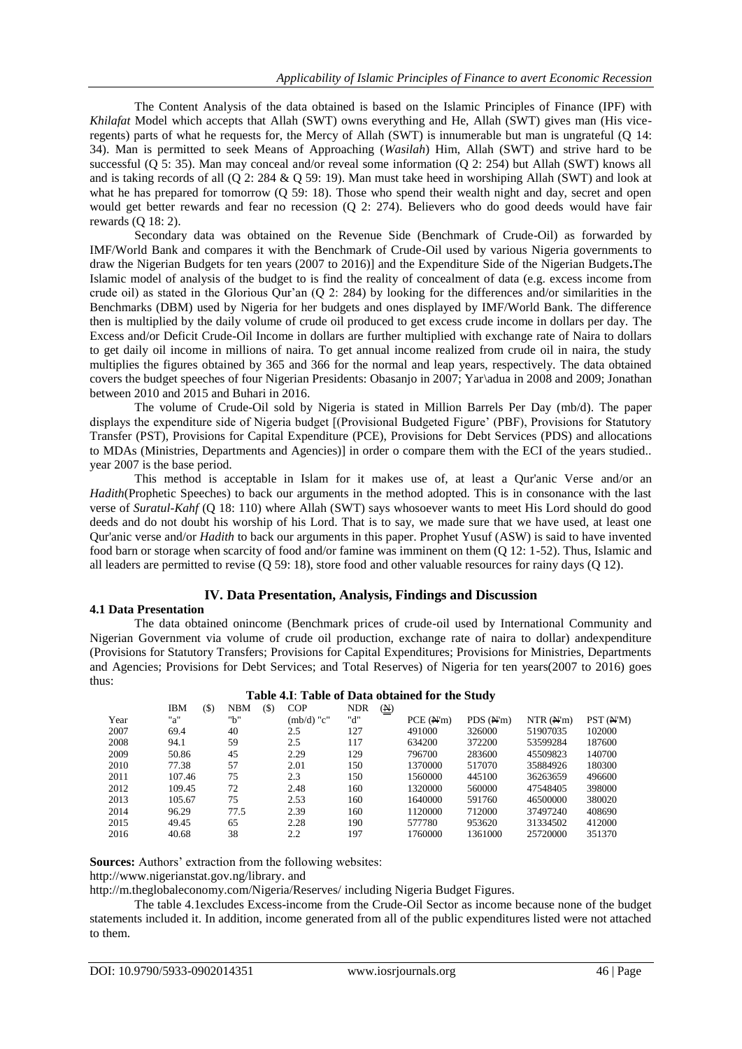The Content Analysis of the data obtained is based on the Islamic Principles of Finance (IPF) with *Khilafat* Model which accepts that Allah (SWT) owns everything and He, Allah (SWT) gives man (His viceregents) parts of what he requests for, the Mercy of Allah (SWT) is innumerable but man is ungrateful (Q 14: 34). Man is permitted to seek Means of Approaching (*Wasilah*) Him, Allah (SWT) and strive hard to be successful (Q 5: 35). Man may conceal and/or reveal some information (Q 2: 254) but Allah (SWT) knows all and is taking records of all (Q 2: 284 & Q 59: 19). Man must take heed in worshiping Allah (SWT) and look at what he has prepared for tomorrow (Q 59: 18). Those who spend their wealth night and day, secret and open would get better rewards and fear no recession (Q 2: 274). Believers who do good deeds would have fair rewards (Q 18: 2).

Secondary data was obtained on the Revenue Side (Benchmark of Crude-Oil) as forwarded by IMF/World Bank and compares it with the Benchmark of Crude-Oil used by various Nigeria governments to draw the Nigerian Budgets for ten years (2007 to 2016)] and the Expenditure Side of the Nigerian Budgets**.**The Islamic model of analysis of the budget to is find the reality of concealment of data (e.g. excess income from crude oil) as stated in the Glorious Qur'an (Q 2: 284) by looking for the differences and/or similarities in the Benchmarks (DBM) used by Nigeria for her budgets and ones displayed by IMF/World Bank. The difference then is multiplied by the daily volume of crude oil produced to get excess crude income in dollars per day. The Excess and/or Deficit Crude-Oil Income in dollars are further multiplied with exchange rate of Naira to dollars to get daily oil income in millions of naira. To get annual income realized from crude oil in naira, the study multiplies the figures obtained by 365 and 366 for the normal and leap years, respectively. The data obtained covers the budget speeches of four Nigerian Presidents: Obasanjo in 2007; Yar\adua in 2008 and 2009; Jonathan between 2010 and 2015 and Buhari in 2016.

The volume of Crude-Oil sold by Nigeria is stated in Million Barrels Per Day (mb/d). The paper displays the expenditure side of Nigeria budget [(Provisional Budgeted Figure" (PBF), Provisions for Statutory Transfer (PST), Provisions for Capital Expenditure (PCE), Provisions for Debt Services (PDS) and allocations to MDAs (Ministries, Departments and Agencies)] in order o compare them with the ECI of the years studied.. year 2007 is the base period.

This method is acceptable in Islam for it makes use of, at least a Qur'anic Verse and/or an *Hadith*(Prophetic Speeches) to back our arguments in the method adopted. This is in consonance with the last verse of *Suratul-Kahf* (Q 18: 110) where Allah (SWT) says whosoever wants to meet His Lord should do good deeds and do not doubt his worship of his Lord. That is to say, we made sure that we have used, at least one Qur'anic verse and/or *Hadith* to back our arguments in this paper. Prophet Yusuf (ASW) is said to have invented food barn or storage when scarcity of food and/or famine was imminent on them (Q 12: 1-52). Thus, Islamic and all leaders are permitted to revise (Q 59: 18), store food and other valuable resources for rainy days (Q 12).

# **IV. Data Presentation, Analysis, Findings and Discussion**

# **4.1 Data Presentation**

The data obtained onincome (Benchmark prices of crude-oil used by International Community and Nigerian Government via volume of crude oil production, exchange rate of naira to dollar) andexpenditure (Provisions for Statutory Transfers; Provisions for Capital Expenditures; Provisions for Ministries, Departments and Agencies; Provisions for Debt Services; and Total Reserves) of Nigeria for ten years(2007 to 2016) goes thus:

#### **Table 4.I**: **Table of Data obtained for the Study**

|      | <b>IBM</b><br>$($ \$) | <b>NBM</b><br>(\$) | <b>COP</b> | <b>NDR</b><br>$(\underline{N})$ |          |          |          |          |
|------|-----------------------|--------------------|------------|---------------------------------|----------|----------|----------|----------|
| Year | "a"                   | "b"                | (mb/d) "c" | "d"                             | PCE(M'm) | PDS(M'm) | NTR(M'm) | PST(M'M) |
| 2007 | 69.4                  | 40                 | 2.5        | 127                             | 491000   | 326000   | 51907035 | 102000   |
| 2008 | 94.1                  | 59                 | 2.5        | 117                             | 634200   | 372200   | 53599284 | 187600   |
| 2009 | 50.86                 | 45                 | 2.29       | 129                             | 796700   | 283600   | 45509823 | 140700   |
| 2010 | 77.38                 | 57                 | 2.01       | 150                             | 1370000  | 517070   | 35884926 | 180300   |
| 2011 | 107.46                | 75                 | 2.3        | 150                             | 1560000  | 445100   | 36263659 | 496600   |
| 2012 | 109.45                | 72                 | 2.48       | 160                             | 1320000  | 560000   | 47548405 | 398000   |
| 2013 | 105.67                | 75                 | 2.53       | 160                             | 1640000  | 591760   | 46500000 | 380020   |
| 2014 | 96.29                 | 77.5               | 2.39       | 160                             | 1120000  | 712000   | 37497240 | 408690   |
| 2015 | 49.45                 | 65                 | 2.28       | 190                             | 577780   | 953620   | 31334502 | 412000   |
| 2016 | 40.68                 | 38                 | 2.2        | 197                             | 1760000  | 1361000  | 25720000 | 351370   |

**Sources:** Authors' extraction from the following websites:

[http://www.nigerianstat.gov.ng/library.](http://www.nigerianstat.gov.ng/library) and

<http://m.theglobaleconomy.com/Nigeria/Reserves/> including Nigeria Budget Figures.

The table 4.1excludes Excess-income from the Crude-Oil Sector as income because none of the budget statements included it. In addition, income generated from all of the public expenditures listed were not attached to them.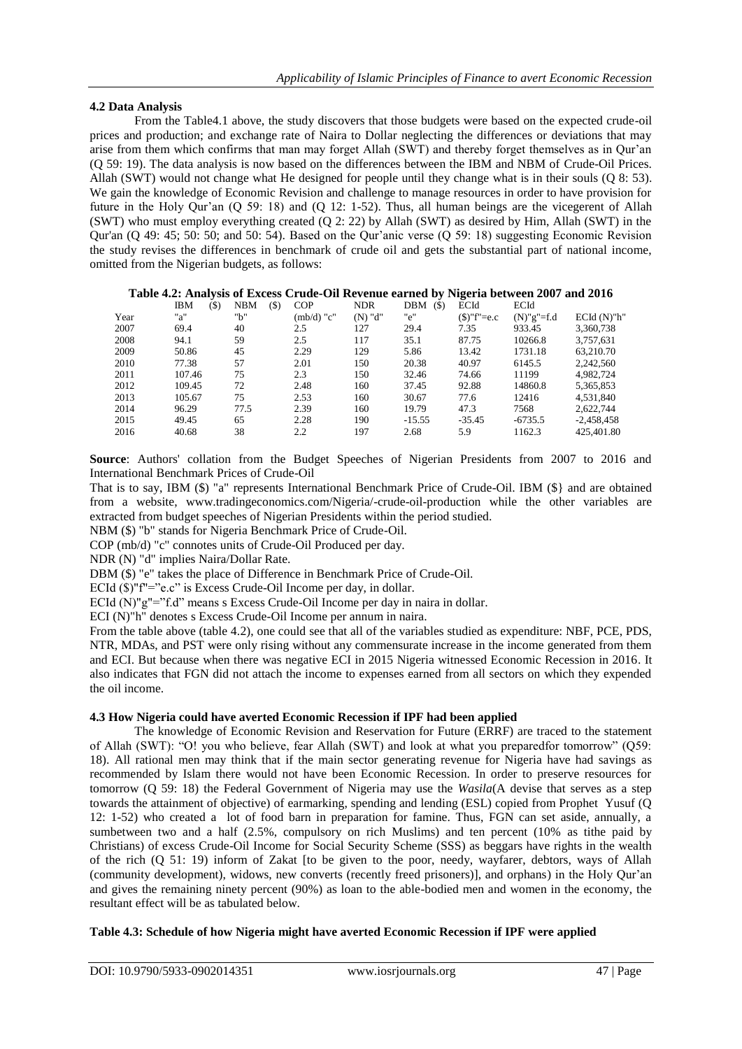## **4.2 Data Analysis**

From the Table4.1 above, the study discovers that those budgets were based on the expected crude-oil prices and production; and exchange rate of Naira to Dollar neglecting the differences or deviations that may arise from them which confirms that man may forget Allah (SWT) and thereby forget themselves as in Qur"an (Q 59: 19). The data analysis is now based on the differences between the IBM and NBM of Crude-Oil Prices. Allah (SWT) would not change what He designed for people until they change what is in their souls (Q 8: 53). We gain the knowledge of Economic Revision and challenge to manage resources in order to have provision for future in the Holy Qur'an  $(Q 59: 18)$  and  $(Q 12: 1-52)$ . Thus, all human beings are the vicegerent of Allah (SWT) who must employ everything created (Q 2: 22) by Allah (SWT) as desired by Him, Allah (SWT) in the Qur'an (Q 49: 45; 50: 50; and 50: 54). Based on the Qur'anic verse (Q 59: 18) suggesting Economic Revision the study revises the differences in benchmark of crude oil and gets the substantial part of national income, omitted from the Nigerian budgets, as follows:

|      | $($ \$)<br>IBM | <b>NBM</b> | <b>COP</b><br>$($ \$) | <b>NDR</b> | $($)$<br>DBM | ECId             | ECId          |                      |
|------|----------------|------------|-----------------------|------------|--------------|------------------|---------------|----------------------|
| Year | "a"            | "b"        | $(mb/d)$ "c"          | $(N)$ "d"  | "e"          | $(\$)''f' = e.c$ | $(N)$ "g"=f.d | $ECId$ $(N)$ " $h$ " |
| 2007 | 69.4           | 40         | 2.5                   | 127        | 29.4         | 7.35             | 933.45        | 3,360,738            |
| 2008 | 94.1           | 59         | 2.5                   | 117        | 35.1         | 87.75            | 10266.8       | 3,757,631            |
| 2009 | 50.86          | 45         | 2.29                  | 129        | 5.86         | 13.42            | 1731.18       | 63.210.70            |
| 2010 | 77.38          | 57         | 2.01                  | 150        | 20.38        | 40.97            | 6145.5        | 2,242,560            |
| 2011 | 107.46         | 75         | 2.3                   | 150        | 32.46        | 74.66            | 11199         | 4,982,724            |
| 2012 | 109.45         | 72         | 2.48                  | 160        | 37.45        | 92.88            | 14860.8       | 5,365,853            |
| 2013 | 105.67         | 75         | 2.53                  | 160        | 30.67        | 77.6             | 12416         | 4,531,840            |
| 2014 | 96.29          | 77.5       | 2.39                  | 160        | 19.79        | 47.3             | 7568          | 2,622,744            |
| 2015 | 49.45          | 65         | 2.28                  | 190        | $-15.55$     | $-35.45$         | $-6735.5$     | $-2.458.458$         |
| 2016 | 40.68          | 38         | 2.2                   | 197        | 2.68         | 5.9              | 1162.3        | 425.401.80           |
|      |                |            |                       |            |              |                  |               |                      |

#### **Table 4.2: Analysis of Excess Crude-Oil Revenue earned by Nigeria between 2007 and 2016**

**Source**: Authors' collation from the Budget Speeches of Nigerian Presidents from 2007 to 2016 and International Benchmark Prices of Crude-Oil

That is to say, IBM (\$) "a" represents International Benchmark Price of Crude-Oil. IBM (\$} and are obtained from a website, www.tradingeconomics.com/Nigeria/-crude-oil-production while the other variables are extracted from budget speeches of Nigerian Presidents within the period studied.

NBM (\$) "b" stands for Nigeria Benchmark Price of Crude-Oil.

COP (mb/d) "c" connotes units of Crude-Oil Produced per day.

NDR (N) "d" implies Naira/Dollar Rate.

DBM (\$) "e" takes the place of Difference in Benchmark Price of Crude-Oil.

ECId (\$)"f"="e.c" is Excess Crude-Oil Income per day, in dollar.

ECId (N)"g"="f.d" means s Excess Crude-Oil Income per day in naira in dollar.

ECI (N)"h" denotes s Excess Crude-Oil Income per annum in naira.

From the table above (table 4.2), one could see that all of the variables studied as expenditure: NBF, PCE, PDS, NTR, MDAs, and PST were only rising without any commensurate increase in the income generated from them and ECI. But because when there was negative ECI in 2015 Nigeria witnessed Economic Recession in 2016. It also indicates that FGN did not attach the income to expenses earned from all sectors on which they expended the oil income.

#### **4.3 How Nigeria could have averted Economic Recession if IPF had been applied**

The knowledge of Economic Revision and Reservation for Future (ERRF) are traced to the statement of Allah (SWT): "O! you who believe, fear Allah (SWT) and look at what you preparedfor tomorrow" (Q59: 18). All rational men may think that if the main sector generating revenue for Nigeria have had savings as recommended by Islam there would not have been Economic Recession. In order to preserve resources for tomorrow (Q 59: 18) the Federal Government of Nigeria may use the *Wasila*(A devise that serves as a step towards the attainment of objective) of earmarking, spending and lending (ESL) copied from Prophet Yusuf (Q 12: 1-52) who created a lot of food barn in preparation for famine. Thus, FGN can set aside, annually, a sumbetween two and a half (2.5%, compulsory on rich Muslims) and ten percent (10% as tithe paid by Christians) of excess Crude-Oil Income for Social Security Scheme (SSS) as beggars have rights in the wealth of the rich (Q 51: 19) inform of Zakat [to be given to the poor, needy, wayfarer, debtors, ways of Allah (community development), widows, new converts (recently freed prisoners)], and orphans) in the Holy Qur"an and gives the remaining ninety percent (90%) as loan to the able-bodied men and women in the economy, the resultant effect will be as tabulated below.

## **Table 4.3: Schedule of how Nigeria might have averted Economic Recession if IPF were applied**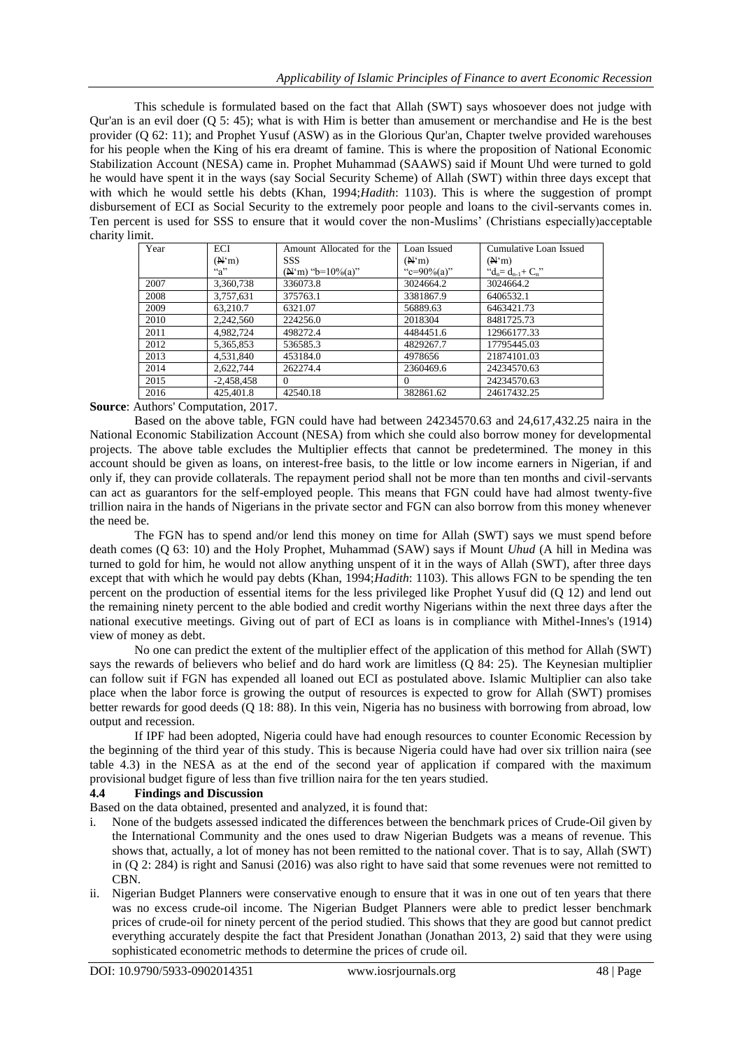This schedule is formulated based on the fact that Allah (SWT) says whosoever does not judge with Qur'an is an evil doer (Q 5: 45); what is with Him is better than amusement or merchandise and He is the best provider (Q 62: 11); and Prophet Yusuf (ASW) as in the Glorious Qur'an, Chapter twelve provided warehouses for his people when the King of his era dreamt of famine. This is where the proposition of National Economic Stabilization Account (NESA) came in. Prophet Muhammad (SAAWS) said if Mount Uhd were turned to gold he would have spent it in the ways (say Social Security Scheme) of Allah (SWT) within three days except that with which he would settle his debts (Khan, 1994;*Hadith*: 1103). This is where the suggestion of prompt disbursement of ECI as Social Security to the extremely poor people and loans to the civil-servants comes in. Ten percent is used for SSS to ensure that it would cover the non-Muslims" (Christians especially)acceptable charity limit.

| Year | ECI                | Amount Allocated for the          | Loan Issued     | Cumulative Loan Issued    |  |
|------|--------------------|-----------------------------------|-----------------|---------------------------|--|
|      | $(N^{\prime}m)$    | <b>SSS</b>                        | $(N^{\prime}m)$ | (N <sup>1</sup> m)        |  |
|      | $a^{\prime\prime}$ | $({\bf A}^{\prime}$ m) "b=10%(a)" | "c=90%(a)"      | " $d_n = d_{n-1} + C_n$ " |  |
| 2007 | 3,360,738          | 336073.8                          | 3024664.2       | 3024664.2                 |  |
| 2008 | 3,757,631          | 375763.1                          | 3381867.9       | 6406532.1                 |  |
| 2009 | 63.210.7           | 6321.07                           | 56889.63        | 6463421.73                |  |
| 2010 | 2,242,560          | 224256.0                          | 2018304         | 8481725.73                |  |
| 2011 | 4,982,724          | 498272.4                          | 4484451.6       | 12966177.33               |  |
| 2012 | 5,365,853          | 536585.3                          | 4829267.7       | 17795445.03               |  |
| 2013 | 4,531,840          | 453184.0                          | 4978656         | 21874101.03               |  |
| 2014 | 2,622,744          | 262274.4                          | 2360469.6       | 24234570.63               |  |
| 2015 | $-2,458,458$       | $\Omega$                          | $\Omega$        | 24234570.63               |  |
| 2016 | 425,401.8          | 42540.18                          | 382861.62       | 24617432.25               |  |

# **Source**: Authors' Computation, 2017.

Based on the above table, FGN could have had between 24234570.63 and 24,617,432.25 naira in the National Economic Stabilization Account (NESA) from which she could also borrow money for developmental projects. The above table excludes the Multiplier effects that cannot be predetermined. The money in this account should be given as loans, on interest-free basis, to the little or low income earners in Nigerian, if and only if, they can provide collaterals. The repayment period shall not be more than ten months and civil-servants can act as guarantors for the self-employed people. This means that FGN could have had almost twenty-five trillion naira in the hands of Nigerians in the private sector and FGN can also borrow from this money whenever the need be.

The FGN has to spend and/or lend this money on time for Allah (SWT) says we must spend before death comes (Q 63: 10) and the Holy Prophet, Muhammad (SAW) says if Mount *Uhud* (A hill in Medina was turned to gold for him, he would not allow anything unspent of it in the ways of Allah (SWT), after three days except that with which he would pay debts (Khan, 1994;*Hadith*: 1103). This allows FGN to be spending the ten percent on the production of essential items for the less privileged like Prophet Yusuf did (Q 12) and lend out the remaining ninety percent to the able bodied and credit worthy Nigerians within the next three days after the national executive meetings. Giving out of part of ECI as loans is in compliance with Mithel-Innes's (1914) view of money as debt.

No one can predict the extent of the multiplier effect of the application of this method for Allah (SWT) says the rewards of believers who belief and do hard work are limitless (Q 84: 25). The Keynesian multiplier can follow suit if FGN has expended all loaned out ECI as postulated above. Islamic Multiplier can also take place when the labor force is growing the output of resources is expected to grow for Allah (SWT) promises better rewards for good deeds (Q 18: 88). In this vein, Nigeria has no business with borrowing from abroad, low output and recession.

If IPF had been adopted, Nigeria could have had enough resources to counter Economic Recession by the beginning of the third year of this study. This is because Nigeria could have had over six trillion naira (see table 4.3) in the NESA as at the end of the second year of application if compared with the maximum provisional budget figure of less than five trillion naira for the ten years studied.

#### **4.4 Findings and Discussion**

Based on the data obtained, presented and analyzed, it is found that:

- i. None of the budgets assessed indicated the differences between the benchmark prices of Crude-Oil given by the International Community and the ones used to draw Nigerian Budgets was a means of revenue. This shows that, actually, a lot of money has not been remitted to the national cover. That is to say, Allah (SWT) in (Q 2: 284) is right and Sanusi (2016) was also right to have said that some revenues were not remitted to CBN.
- ii. Nigerian Budget Planners were conservative enough to ensure that it was in one out of ten years that there was no excess crude-oil income. The Nigerian Budget Planners were able to predict lesser benchmark prices of crude-oil for ninety percent of the period studied. This shows that they are good but cannot predict everything accurately despite the fact that President Jonathan (Jonathan 2013, 2) said that they were using sophisticated econometric methods to determine the prices of crude oil.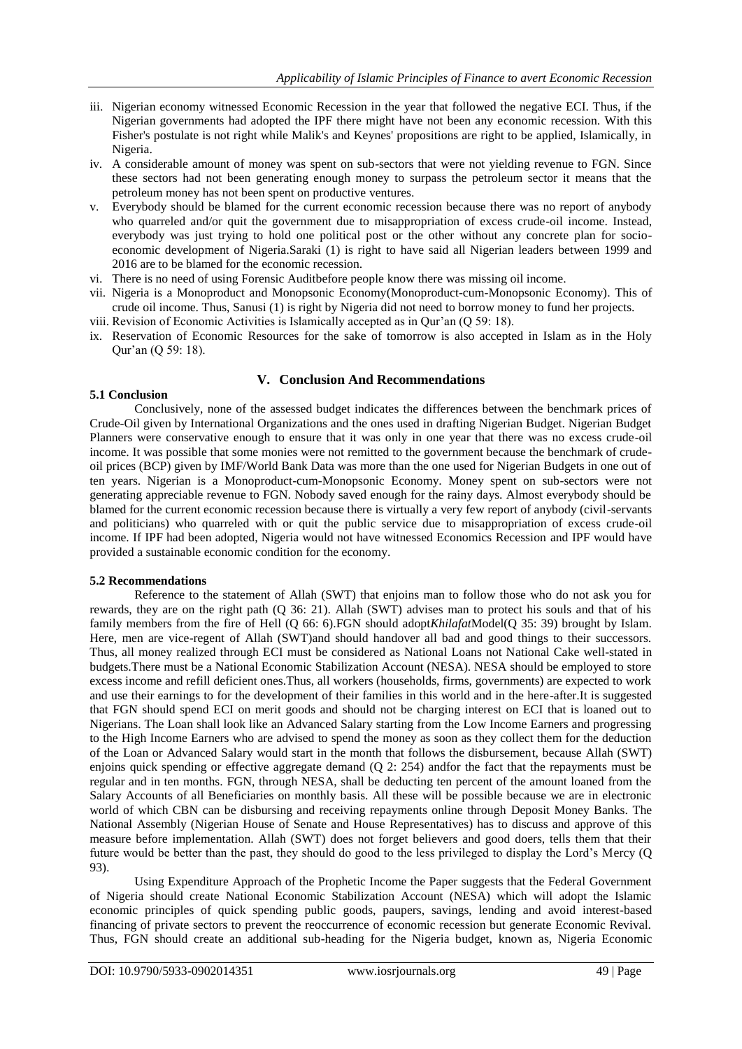- iii. Nigerian economy witnessed Economic Recession in the year that followed the negative ECI. Thus, if the Nigerian governments had adopted the IPF there might have not been any economic recession. With this Fisher's postulate is not right while Malik's and Keynes' propositions are right to be applied, Islamically, in Nigeria.
- iv. A considerable amount of money was spent on sub-sectors that were not yielding revenue to FGN. Since these sectors had not been generating enough money to surpass the petroleum sector it means that the petroleum money has not been spent on productive ventures.
- v. Everybody should be blamed for the current economic recession because there was no report of anybody who quarreled and/or quit the government due to misappropriation of excess crude-oil income. Instead, everybody was just trying to hold one political post or the other without any concrete plan for socioeconomic development of Nigeria.Saraki (1) is right to have said all Nigerian leaders between 1999 and 2016 are to be blamed for the economic recession.
- vi. There is no need of using Forensic Auditbefore people know there was missing oil income.
- vii. Nigeria is a Monoproduct and Monopsonic Economy(Monoproduct-cum-Monopsonic Economy). This of crude oil income. Thus, Sanusi (1) is right by Nigeria did not need to borrow money to fund her projects. viii. Revision of Economic Activities is Islamically accepted as in Qur"an (Q 59: 18).
- ix. Reservation of Economic Resources for the sake of tomorrow is also accepted in Islam as in the Holy
- Qur"an (Q 59: 18).

# **V. Conclusion And Recommendations**

#### **5.1 Conclusion**

Conclusively, none of the assessed budget indicates the differences between the benchmark prices of Crude-Oil given by International Organizations and the ones used in drafting Nigerian Budget. Nigerian Budget Planners were conservative enough to ensure that it was only in one year that there was no excess crude-oil income. It was possible that some monies were not remitted to the government because the benchmark of crudeoil prices (BCP) given by IMF/World Bank Data was more than the one used for Nigerian Budgets in one out of ten years. Nigerian is a Monoproduct-cum-Monopsonic Economy. Money spent on sub-sectors were not generating appreciable revenue to FGN. Nobody saved enough for the rainy days. Almost everybody should be blamed for the current economic recession because there is virtually a very few report of anybody (civil-servants and politicians) who quarreled with or quit the public service due to misappropriation of excess crude-oil income. If IPF had been adopted, Nigeria would not have witnessed Economics Recession and IPF would have provided a sustainable economic condition for the economy.

### **5.2 Recommendations**

Reference to the statement of Allah (SWT) that enjoins man to follow those who do not ask you for rewards, they are on the right path (Q 36: 21). Allah (SWT) advises man to protect his souls and that of his family members from the fire of Hell (Q 66: 6).FGN should adopt*Khilafat*Model(Q 35: 39) brought by Islam. Here, men are vice-regent of Allah (SWT)and should handover all bad and good things to their successors. Thus, all money realized through ECI must be considered as National Loans not National Cake well-stated in budgets.There must be a National Economic Stabilization Account (NESA). NESA should be employed to store excess income and refill deficient ones.Thus, all workers (households, firms, governments) are expected to work and use their earnings to for the development of their families in this world and in the here-after.It is suggested that FGN should spend ECI on merit goods and should not be charging interest on ECI that is loaned out to Nigerians. The Loan shall look like an Advanced Salary starting from the Low Income Earners and progressing to the High Income Earners who are advised to spend the money as soon as they collect them for the deduction of the Loan or Advanced Salary would start in the month that follows the disbursement, because Allah (SWT) enjoins quick spending or effective aggregate demand (Q 2: 254) andfor the fact that the repayments must be regular and in ten months. FGN, through NESA, shall be deducting ten percent of the amount loaned from the Salary Accounts of all Beneficiaries on monthly basis. All these will be possible because we are in electronic world of which CBN can be disbursing and receiving repayments online through Deposit Money Banks. The National Assembly (Nigerian House of Senate and House Representatives) has to discuss and approve of this measure before implementation. Allah (SWT) does not forget believers and good doers, tells them that their future would be better than the past, they should do good to the less privileged to display the Lord"s Mercy (Q 93).

Using Expenditure Approach of the Prophetic Income the Paper suggests that the Federal Government of Nigeria should create National Economic Stabilization Account (NESA) which will adopt the Islamic economic principles of quick spending public goods, paupers, savings, lending and avoid interest-based financing of private sectors to prevent the reoccurrence of economic recession but generate Economic Revival. Thus, FGN should create an additional sub-heading for the Nigeria budget, known as, Nigeria Economic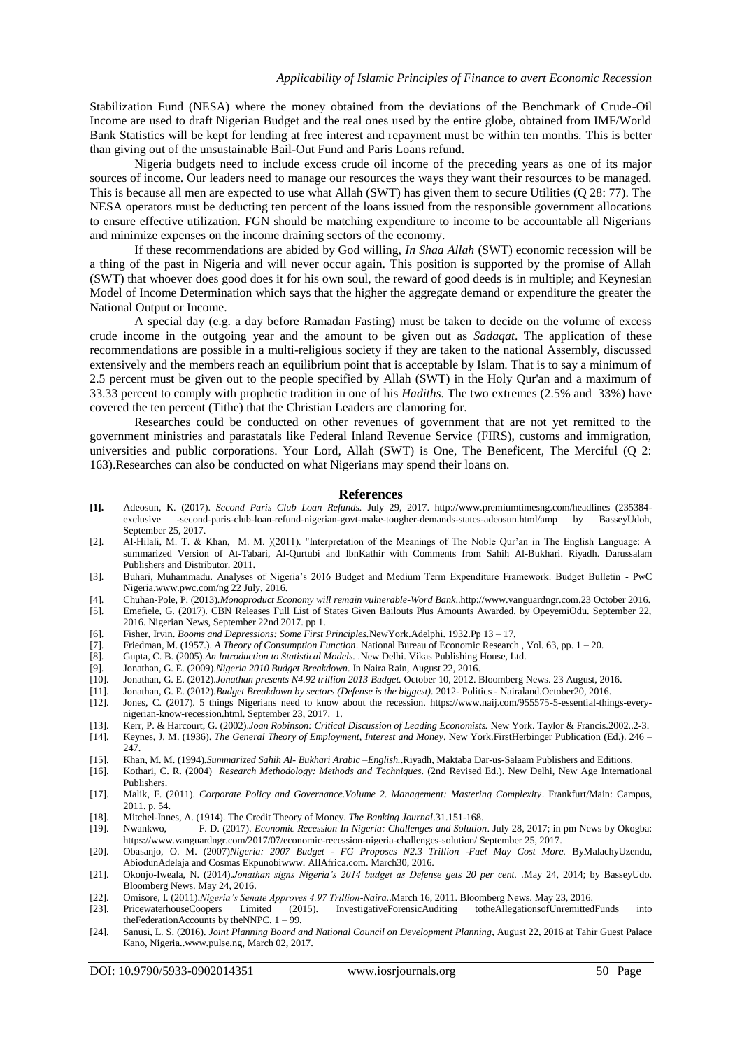Stabilization Fund (NESA) where the money obtained from the deviations of the Benchmark of Crude-Oil Income are used to draft Nigerian Budget and the real ones used by the entire globe, obtained from IMF/World Bank Statistics will be kept for lending at free interest and repayment must be within ten months. This is better than giving out of the unsustainable Bail-Out Fund and Paris Loans refund.

Nigeria budgets need to include excess crude oil income of the preceding years as one of its major sources of income. Our leaders need to manage our resources the ways they want their resources to be managed. This is because all men are expected to use what Allah (SWT) has given them to secure Utilities (Q 28: 77). The NESA operators must be deducting ten percent of the loans issued from the responsible government allocations to ensure effective utilization. FGN should be matching expenditure to income to be accountable all Nigerians and minimize expenses on the income draining sectors of the economy.

If these recommendations are abided by God willing, *In Shaa Allah* (SWT) economic recession will be a thing of the past in Nigeria and will never occur again. This position is supported by the promise of Allah (SWT) that whoever does good does it for his own soul, the reward of good deeds is in multiple; and Keynesian Model of Income Determination which says that the higher the aggregate demand or expenditure the greater the National Output or Income.

A special day (e.g. a day before Ramadan Fasting) must be taken to decide on the volume of excess crude income in the outgoing year and the amount to be given out as *Sadaqat*. The application of these recommendations are possible in a multi-religious society if they are taken to the national Assembly, discussed extensively and the members reach an equilibrium point that is acceptable by Islam. That is to say a minimum of 2.5 percent must be given out to the people specified by Allah (SWT) in the Holy Qur'an and a maximum of 33.33 percent to comply with prophetic tradition in one of his *Hadiths*. The two extremes (2.5% and 33%) have covered the ten percent (Tithe) that the Christian Leaders are clamoring for.

Researches could be conducted on other revenues of government that are not yet remitted to the government ministries and parastatals like Federal Inland Revenue Service (FIRS), customs and immigration, universities and public corporations. Your Lord, Allah (SWT) is One, The Beneficent, The Merciful (Q 2: 163).Researches can also be conducted on what Nigerians may spend their loans on.

#### **References**

- **[1].** Adeosun, K. (2017). *Second Paris Club Loan Refunds.* July 29, 2017. http://www.premiumtimesng.com/headlines (235384 exclusive -second-paris-club-loan-refund-nigerian-govt-make-tougher-demands-states-adeosun.html/amp by BasseyUdoh, September 25, 2017.
- [2]. Al-Hilali, M. T. & Khan, M. M. )(2011). "Interpretation of the Meanings of The Noble Qur"an in The English Language: A summarized Version of At-Tabari, Al-Qurtubi and IbnKathir with Comments from Sahih Al-Bukhari. Riyadh. Darussalam Publishers and Distributor. 2011.
- [3]. Buhari, Muhammadu. Analyses of Nigeria"s 2016 Budget and Medium Term Expenditure Framework. Budget Bulletin PwC Nigeria.www.pwc.com/ng 22 July, 2016.
- [4]. Chuhan-Pole, P. (2013).*Monoproduct Economy will remain vulnerable-Word Bank*[..http://www.vanguardngr.com.2](http://www.vanguardngr.com/)3 October 2016.
- [5]. Emefiele, G. (2017). CBN Releases Full List of States Given Bailouts Plus Amounts Awarded. by OpeyemiOdu. September 22, 2016. Nigerian News, September 22nd 2017. pp 1.
- [6]. Fisher, Irvin. *Booms and Depressions: Some First Principles.*NewYork.Adelphi. 1932.Pp 13 17,
- [7]. Friedman, M. (1957.). *A Theory of Consumption Function*. National Bureau of Economic Research , Vol. 63, pp. 1 20.
- [8]. Gupta, C. B. (2005).*An Introduction to Statistical Models*. .New Delhi. Vikas Publishing House, Ltd. [9]. Jonathan, G. E. (2009). *Nigeria 2010 Budget Breakdown*. In Naira Rain, August 22, 2016.
- 
- [9]. Jonathan, G. E. (2009).*Nigeria 2010 Budget Breakdown.* In Naira Rain, August 22, 2016. [10]. Jonathan, G. E. (2012).*Jonathan presents N4.92 trillion 2013 Budget.* October 10, 2012. Bloomberg News. 23 August, 2016.
- 
- [11]. Jonathan, G. E. (2012).*Budget Breakdown by sectors (Defense is the biggest).* 2012- Politics Nairaland.October20, 2016. Jones, C. (2017). 5 things Nigerians need to know about the recession. https://www.naij.com/955575-5-essential-things-everynigerian-know-recession.html. September 23, 2017. 1.
- [13]. Kerr, P. & Harcourt, G. (2002).*Joan Robinson: Critical Discussion of Leading Economists.* New York. Taylor & Francis.2002..2-3.
- [14]. Keynes, J. M. (1936). *The General Theory of Employment, Interest and Money*. New York.FirstHerbinger Publication (Ed.). 246 247.
- [15]. Khan, M. M. (1994).*Summarized Sahih Al- Bukhari Arabic –English.*.Riyadh, Maktaba Dar-us-Salaam Publishers and Editions*.*
- [16]. Kothari, C. R. (2004) *Research Methodology: Methods and Techniques*. (2nd Revised Ed.). New Delhi, New Age International **Publishers**
- [17]. Malik, F. (2011). *Corporate Policy and Governance.Volume 2. Management: Mastering Complexity*. Frankfurt/Main: Campus, 2011. p. 54.
- [18]. Mitchel-Innes, A. (1914). The Credit Theory of Money. *The Banking Journal*.31.151-168.
- [19]. Nwankwo, F. D. (2017). *Economic Recession In Nigeria: Challenges and Solution*. July 28, 2017; in pm News by Okogba: https://www.vanguardngr.com/2017/07/economic-recession-nigeria-challenges-solution/ September 25, 2017.
- [20]. Obasanjo, O. M. (2007)*Nigeria: 2007 Budget - FG Proposes N2.3 Trillion -Fuel May Cost More.* ByMalachyUzendu, AbiodunAdelaja and Cosmas Ekpunobiwww. AllAfrica.com. March30, 2016.
- [21]. Okonjo-Iweala, N. (2014).*Jonathan signs Nigeria's 2014 budget as Defense gets 20 per cent. .*May 24, 2014; by BasseyUdo. Bloomberg News. May 24, 2016.
- [22]. Omisore, I. (2011).*Nigeria's Senate Approves 4.97 Trillion-Naira*..March 16, 2011. Bloomberg News. May 23, 2016.
- [23]. PricewaterhouseCoopers Limited (2015). InvestigativeForensicAuditing totheAllegationsofUnremittedFunds into theFederationAccounts by theNNPC.  $1 - 99$ .
- [24]. Sanusi, L. S. (2016). *Joint Planning Board and National Council on Development Planning*[, August 22, 2016 at Tahir Guest Palace](http://www.pulse.ng/)  Kano, [Nigeria..www.pulse.ng,](http://www.pulse.ng/) March 02, 2017.